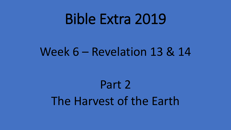# Bible Extra 2019

### Week 6 – Revelation 13 & 14

## Part 2 The Harvest of the Earth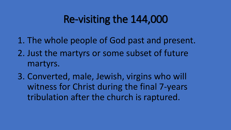### Re-visiting the 144,000

- 1. The whole people of God past and present.
- 2. Just the martyrs or some subset of future martyrs.
- 3. Converted, male, Jewish, virgins who will witness for Christ during the final 7-years tribulation after the church is raptured.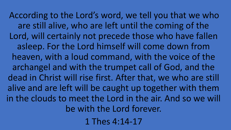According to the Lord's word, we tell you that we who are still alive, who are left until the coming of the Lord, will certainly not precede those who have fallen asleep. For the Lord himself will come down from heaven, with a loud command, with the voice of the archangel and with the trumpet call of God, and the dead in Christ will rise first. After that, we who are still alive and are left will be caught up together with them in the clouds to meet the Lord in the air. And so we will be with the Lord forever.

1 Thes 4:14-17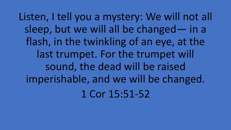Listen, I tell you a mystery: We will not all sleep, but we will all be changed— in a flash, in the twinkling of an eye, at the last trumpet. For the trumpet will sound, the dead will be raised imperishable, and we will be changed. 1 Cor 15:51-52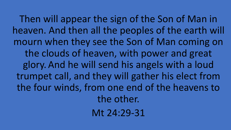Then will appear the sign of the Son of Man in heaven. And then all the peoples of the earth will mourn when they see the Son of Man coming on the clouds of heaven, with power and great glory. And he will send his angels with a loud trumpet call, and they will gather his elect from the four winds, from one end of the heavens to the other.

Mt 24:29-31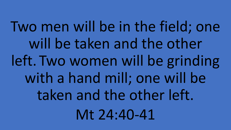Two men will be in the field; one will be taken and the other left. Two women will be grinding with a hand mill; one will be taken and the other left. Mt 24:40-41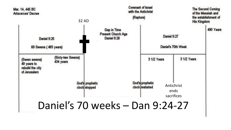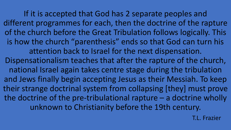If it is accepted that God has 2 separate peoples and different programmes for each, then the doctrine of the rapture of the church before the Great Tribulation follows logically. This is how the church "parenthesis" ends so that God can turn his attention back to Israel for the next dispensation. Dispensationalism teaches that after the rapture of the church, national Israel again takes centre stage during the tribulation and Jews finally begin accepting Jesus as their Messiah. To keep their strange doctrinal system from collapsing [they] must prove the doctrine of the pre-tribulational rapture – a doctrine wholly unknown to Christianity before the 19th century.

T.L. Frazier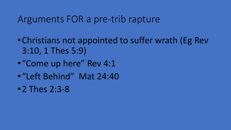#### Arguments FOR a pre-trib rapture

- •Christians not appointed to suffer wrath (Eg Rev 3:10, 1 Thes 5:9)
- "Come up here" Rev 4:1
- •"Left Behind" Mat 24:40
- •2 Thes 2:3-8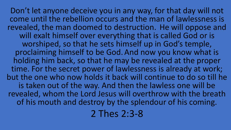Don't let anyone deceive you in any way, for that day will not come until the rebellion occurs and the man of lawlessness is revealed, the man doomed to destruction. He will oppose and will exalt himself over everything that is called God or is worshiped, so that he sets himself up in God's temple, proclaiming himself to be God. And now you know what is holding him back, so that he may be revealed at the proper time. For the secret power of lawlessness is already at work; but the one who now holds it back will continue to do so till he is taken out of the way. And then the lawless one will be revealed, whom the Lord Jesus will overthrow with the breath of his mouth and destroy by the splendour of his coming.

2 Thes 2:3-8